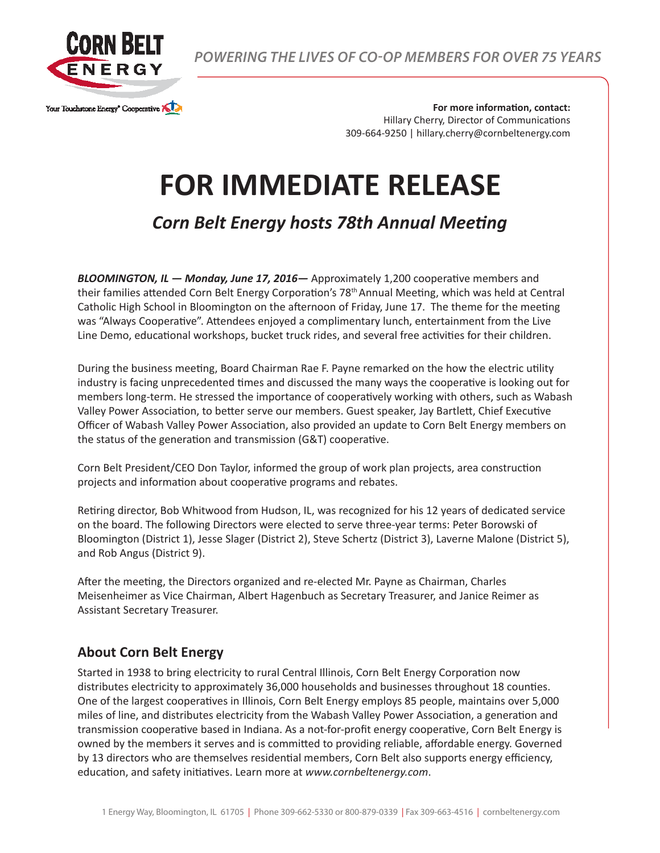

*POWERING THE LIVES OF CO-OP MEMBERS FOR OVER 75 YEARS*

**For more information, contact:** Hillary Cherry, Director of Communications 309-664-9250 | hillary.cherry@cornbeltenergy.com

## **FOR IMMEDIATE RELEASE**

*Corn Belt Energy hosts 78th Annual Meeting*

*BLOOMINGTON, IL — Monday, June 17, 2016—* Approximately 1,200 cooperative members and their families attended Corn Belt Energy Corporation's 78th Annual Meeting, which was held at Central Catholic High School in Bloomington on the afternoon of Friday, June 17. The theme for the meeting was "Always Cooperative". Attendees enjoyed a complimentary lunch, entertainment from the Live Line Demo, educational workshops, bucket truck rides, and several free activities for their children.

During the business meeting, Board Chairman Rae F. Payne remarked on the how the electric utility industry is facing unprecedented times and discussed the many ways the cooperative is looking out for members long-term. He stressed the importance of cooperatively working with others, such as Wabash Valley Power Association, to better serve our members. Guest speaker, Jay Bartlett, Chief Executive Officer of Wabash Valley Power Association, also provided an update to Corn Belt Energy members on the status of the generation and transmission (G&T) cooperative.

Corn Belt President/CEO Don Taylor, informed the group of work plan projects, area construction projects and information about cooperative programs and rebates.

Retiring director, Bob Whitwood from Hudson, IL, was recognized for his 12 years of dedicated service on the board. The following Directors were elected to serve three-year terms: Peter Borowski of Bloomington (District 1), Jesse Slager (District 2), Steve Schertz (District 3), Laverne Malone (District 5), and Rob Angus (District 9).

After the meeting, the Directors organized and re-elected Mr. Payne as Chairman, Charles Meisenheimer as Vice Chairman, Albert Hagenbuch as Secretary Treasurer, and Janice Reimer as Assistant Secretary Treasurer.

## **About Corn Belt Energy**

Started in 1938 to bring electricity to rural Central Illinois, Corn Belt Energy Corporation now distributes electricity to approximately 36,000 households and businesses throughout 18 counties. One of the largest cooperatives in Illinois, Corn Belt Energy employs 85 people, maintains over 5,000 miles of line, and distributes electricity from the Wabash Valley Power Association, a generation and transmission cooperative based in Indiana. As a not-for-profit energy cooperative, Corn Belt Energy is owned by the members it serves and is committed to providing reliable, affordable energy. Governed by 13 directors who are themselves residential members, Corn Belt also supports energy efficiency, education, and safety initiatives. Learn more at *www.cornbeltenergy.com*.